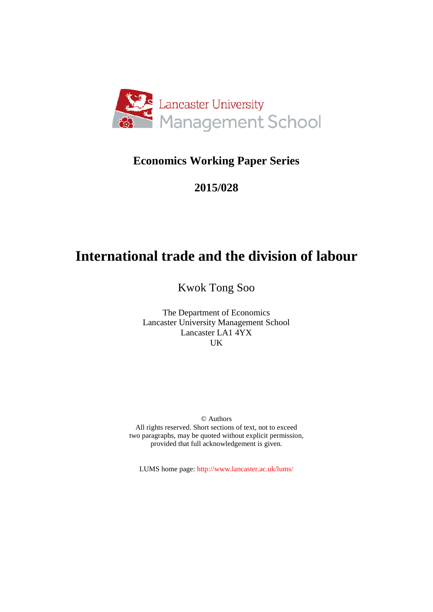

# **Economics Working Paper Series**

# **2015/028**

# **International trade and the division of labour**

Kwok Tong Soo

The Department of Economics Lancaster University Management School Lancaster LA1 4YX UK

© Authors All rights reserved. Short sections of text, not to exceed two paragraphs, may be quoted without explicit permission, provided that full acknowledgement is given.

LUMS home page: http://www.lancaster.ac.uk/lums/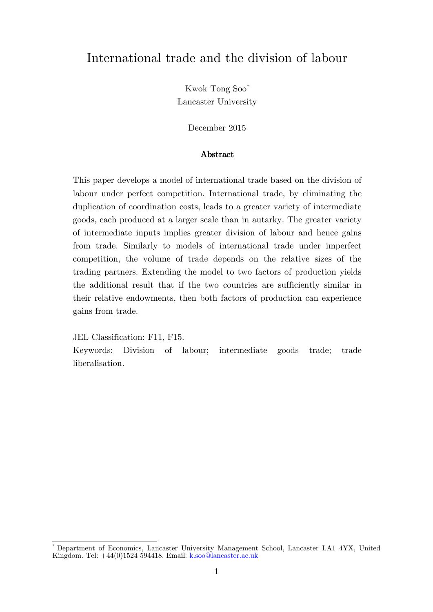# International trade and the division of labour

Kwok Tong Soo[\\*](#page-1-0) Lancaster University

December 2015

#### Abstract

This paper develops a model of international trade based on the division of labour under perfect competition. International trade, by eliminating the duplication of coordination costs, leads to a greater variety of intermediate goods, each produced at a larger scale than in autarky. The greater variety of intermediate inputs implies greater division of labour and hence gains from trade. Similarly to models of international trade under imperfect competition, the volume of trade depends on the relative sizes of the trading partners. Extending the model to two factors of production yields the additional result that if the two countries are sufficiently similar in their relative endowments, then both factors of production can experience gains from trade.

JEL Classification: F11, F15.

Keywords: Division of labour; intermediate goods trade; trade liberalisation.

<span id="page-1-0"></span>\* Department of Economics, Lancaster University Management School, Lancaster LA1 4YX, United Kingdom. Tel: +44(0)1524 594418. Email: [k.soo@lancaster.ac.uk](mailto:k.soo@lancaster.ac.uk)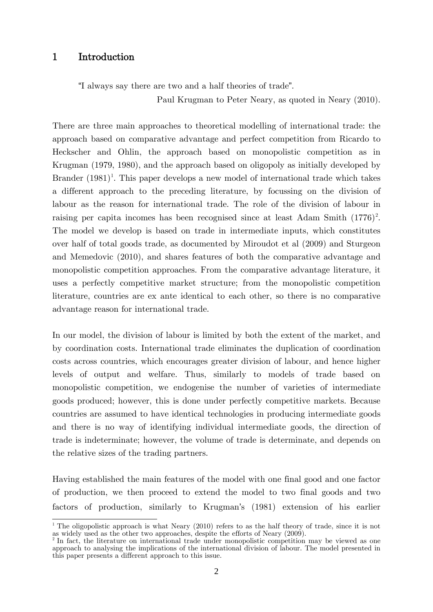## 1 Introduction

"I always say there are two and a half theories of trade".

Paul Krugman to Peter Neary, as quoted in Neary (2010).

There are three main approaches to theoretical modelling of international trade: the approach based on comparative advantage and perfect competition from Ricardo to Heckscher and Ohlin, the approach based on monopolistic competition as in Krugman (1979, 1980), and the approach based on oligopoly as initially developed by Brander  $(1981)^1$  $(1981)^1$  $(1981)^1$ . This paper develops a new model of international trade which takes a different approach to the preceding literature, by focussing on the division of labour as the reason for international trade. The role of the division of labour in raising per capita incomes has been recognised since at least Adam Smith  $(1776)^2$  $(1776)^2$ . The model we develop is based on trade in intermediate inputs, which constitutes over half of total goods trade, as documented by Miroudot et al (2009) and Sturgeon and Memedovic (2010), and shares features of both the comparative advantage and monopolistic competition approaches. From the comparative advantage literature, it uses a perfectly competitive market structure; from the monopolistic competition literature, countries are ex ante identical to each other, so there is no comparative advantage reason for international trade.

In our model, the division of labour is limited by both the extent of the market, and by coordination costs. International trade eliminates the duplication of coordination costs across countries, which encourages greater division of labour, and hence higher levels of output and welfare. Thus, similarly to models of trade based on monopolistic competition, we endogenise the number of varieties of intermediate goods produced; however, this is done under perfectly competitive markets. Because countries are assumed to have identical technologies in producing intermediate goods and there is no way of identifying individual intermediate goods, the direction of trade is indeterminate; however, the volume of trade is determinate, and depends on the relative sizes of the trading partners.

Having established the main features of the model with one final good and one factor of production, we then proceed to extend the model to two final goods and two factors of production, similarly to Krugman's (1981) extension of his earlier

<span id="page-2-0"></span><sup>&</sup>lt;sup>1</sup> The oligopolistic approach is what Neary (2010) refers to as the half theory of trade, since it is not as widely used as the other two approaches, despite the efforts of Neary (2009).

<span id="page-2-1"></span><sup>&</sup>lt;sup>2</sup> In fact, the literature on international trade under monopolistic competition may be viewed as one approach to analysing the implications of the international division of labour. The model presented in this paper presents a different approach to this issue.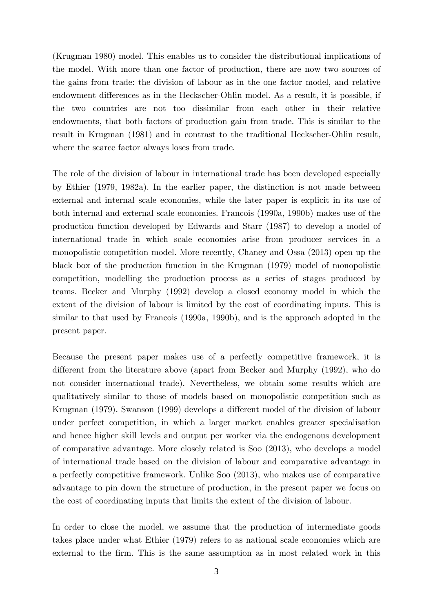(Krugman 1980) model. This enables us to consider the distributional implications of the model. With more than one factor of production, there are now two sources of the gains from trade: the division of labour as in the one factor model, and relative endowment differences as in the Heckscher-Ohlin model. As a result, it is possible, if the two countries are not too dissimilar from each other in their relative endowments, that both factors of production gain from trade. This is similar to the result in Krugman (1981) and in contrast to the traditional Heckscher-Ohlin result, where the scarce factor always loses from trade.

The role of the division of labour in international trade has been developed especially by Ethier (1979, 1982a). In the earlier paper, the distinction is not made between external and internal scale economies, while the later paper is explicit in its use of both internal and external scale economies. Francois (1990a, 1990b) makes use of the production function developed by Edwards and Starr (1987) to develop a model of international trade in which scale economies arise from producer services in a monopolistic competition model. More recently, Chaney and Ossa (2013) open up the black box of the production function in the Krugman (1979) model of monopolistic competition, modelling the production process as a series of stages produced by teams. Becker and Murphy (1992) develop a closed economy model in which the extent of the division of labour is limited by the cost of coordinating inputs. This is similar to that used by Francois (1990a, 1990b), and is the approach adopted in the present paper.

Because the present paper makes use of a perfectly competitive framework, it is different from the literature above (apart from Becker and Murphy (1992), who do not consider international trade). Nevertheless, we obtain some results which are qualitatively similar to those of models based on monopolistic competition such as Krugman (1979). Swanson (1999) develops a different model of the division of labour under perfect competition, in which a larger market enables greater specialisation and hence higher skill levels and output per worker via the endogenous development of comparative advantage. More closely related is Soo (2013), who develops a model of international trade based on the division of labour and comparative advantage in a perfectly competitive framework. Unlike Soo (2013), who makes use of comparative advantage to pin down the structure of production, in the present paper we focus on the cost of coordinating inputs that limits the extent of the division of labour.

In order to close the model, we assume that the production of intermediate goods takes place under what Ethier (1979) refers to as national scale economies which are external to the firm. This is the same assumption as in most related work in this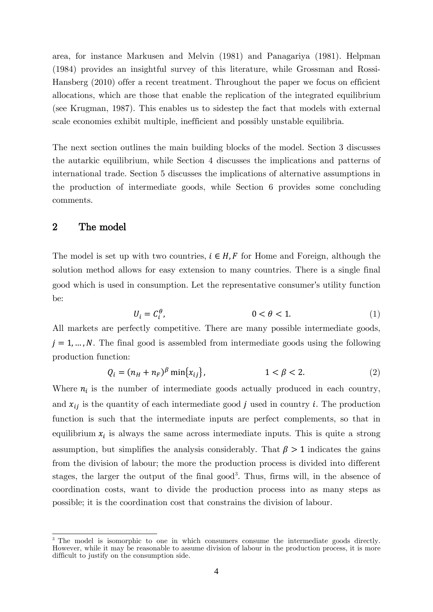area, for instance Markusen and Melvin (1981) and Panagariya (1981). Helpman (1984) provides an insightful survey of this literature, while Grossman and Rossi-Hansberg (2010) offer a recent treatment. Throughout the paper we focus on efficient allocations, which are those that enable the replication of the integrated equilibrium (see Krugman, 1987). This enables us to sidestep the fact that models with external scale economies exhibit multiple, inefficient and possibly unstable equilibria.

The next section outlines the main building blocks of the model. Section 3 discusses the autarkic equilibrium, while Section 4 discusses the implications and patterns of international trade. Section 5 discusses the implications of alternative assumptions in the production of intermediate goods, while Section 6 provides some concluding comments.

## 2 The model

The model is set up with two countries,  $i \in H, F$  for Home and Foreign, although the solution method allows for easy extension to many countries. There is a single final good which is used in consumption. Let the representative consumer's utility function be:

$$
U_i = C_i^{\theta}, \qquad \qquad 0 < \theta < 1. \tag{1}
$$

All markets are perfectly competitive. There are many possible intermediate goods,  $j = 1, \ldots, N$ . The final good is assembled from intermediate goods using the following production function:

$$
Q_i = (n_H + n_F)^{\beta} \min\{x_{ij}\}, \qquad 1 < \beta < 2. \tag{2}
$$

Where  $n_i$  is the number of intermediate goods actually produced in each country, and  $x_{ij}$  is the quantity of each intermediate good *j* used in country *i*. The production function is such that the intermediate inputs are perfect complements, so that in equilibrium  $x_i$  is always the same across intermediate inputs. This is quite a strong assumption, but simplifies the analysis considerably. That  $\beta > 1$  indicates the gains from the division of labour; the more the production process is divided into different stages, the larger the output of the final good<sup>[3](#page-4-0)</sup>. Thus, firms will, in the absence of coordination costs, want to divide the production process into as many steps as possible; it is the coordination cost that constrains the division of labour.

<span id="page-4-0"></span><sup>&</sup>lt;sup>3</sup> The model is isomorphic to one in which consumers consume the intermediate goods directly. However, while it may be reasonable to assume division of labour in the production process, it is more difficult to justify on the consumption side.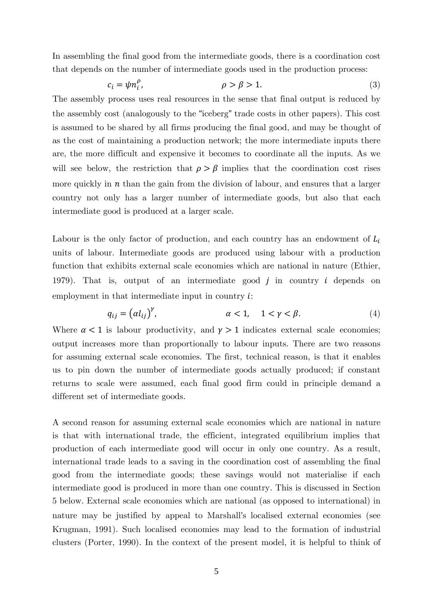In assembling the final good from the intermediate goods, there is a coordination cost that depends on the number of intermediate goods used in the production process:

$$
c_i = \psi n_i^{\rho}, \qquad \rho > \beta > 1. \tag{3}
$$

The assembly process uses real resources in the sense that final output is reduced by the assembly cost (analogously to the "iceberg" trade costs in other papers). This cost is assumed to be shared by all firms producing the final good, and may be thought of as the cost of maintaining a production network; the more intermediate inputs there are, the more difficult and expensive it becomes to coordinate all the inputs. As we will see below, the restriction that  $\rho > \beta$  implies that the coordination cost rises more quickly in  $n$  than the gain from the division of labour, and ensures that a larger country not only has a larger number of intermediate goods, but also that each intermediate good is produced at a larger scale.

Labour is the only factor of production, and each country has an endowment of  $L_i$ units of labour. Intermediate goods are produced using labour with a production function that exhibits external scale economies which are national in nature (Ethier, 1979). That is, output of an intermediate good  $j$  in country  $i$  depends on employment in that intermediate input in country  $i$ :

$$
q_{ij} = (a l_{ij})^{\gamma}, \qquad \alpha < 1, \quad 1 < \gamma < \beta. \tag{4}
$$

Where  $\alpha < 1$  is labour productivity, and  $\gamma > 1$  indicates external scale economies; output increases more than proportionally to labour inputs. There are two reasons for assuming external scale economies. The first, technical reason, is that it enables us to pin down the number of intermediate goods actually produced; if constant returns to scale were assumed, each final good firm could in principle demand a different set of intermediate goods.

A second reason for assuming external scale economies which are national in nature is that with international trade, the efficient, integrated equilibrium implies that production of each intermediate good will occur in only one country. As a result, international trade leads to a saving in the coordination cost of assembling the final good from the intermediate goods; these savings would not materialise if each intermediate good is produced in more than one country. This is discussed in Section 5 below. External scale economies which are national (as opposed to international) in nature may be justified by appeal to Marshall's localised external economies (see Krugman, 1991). Such localised economies may lead to the formation of industrial clusters (Porter, 1990). In the context of the present model, it is helpful to think of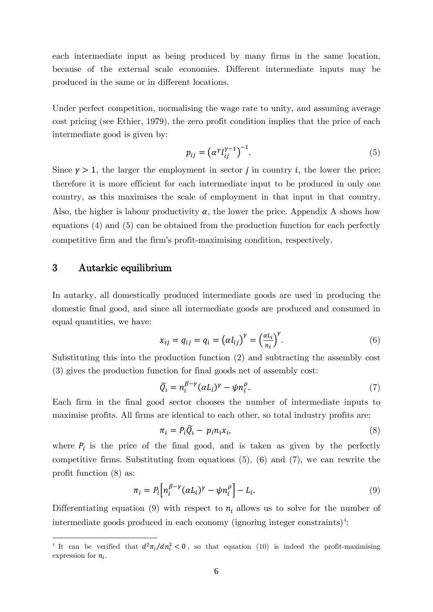each intermediate input as being produced by many firms in the same location, because of the external scale economies. Different intermediate inputs may be produced in the same or in different locations.

Under perfect competition, normalising the wage rate to unity, and assuming average cost pricing (see Ethier, 1979), the zero profit condition implies that the price of each intermediate good is given by:

$$
p_{ij} = \left(\alpha^{\gamma} l_{ij}^{\gamma - 1}\right)^{-1}.\tag{5}
$$

Since  $\gamma > 1$ , the larger the employment in sector *j* in country *i*, the lower the price; therefore it is more efficient for each intermediate input to be produced in only one country, as this maximises the scale of employment in that input in that country. Also, the higher is labour productivity  $\alpha$ , the lower the price. Appendix A shows how equations (4) and (5) can be obtained from the production function for each perfectly competitive firm and the firm's profit-maximising condition, respectively.

# 3 Autarkic equilibrium

**.** 

In autarky, all domestically produced intermediate goods are used in producing the domestic final good, and since all intermediate goods are produced and consumed in equal quantities, we have:

$$
x_{ij} = q_{ij} = q_i = \left(\alpha l_{ij}\right)^{\gamma} = \left(\frac{\alpha L_i}{n_i}\right)^{\gamma}.
$$
\n(6)

Substituting this into the production function (2) and subtracting the assembly cost (3) gives the production function for final goods net of assembly cost:

$$
\widetilde{Q}_i = n_i^{\beta - \gamma} (\alpha L_i)^{\gamma} - \psi n_i^{\rho}.
$$
\n(7)

Each firm in the final good sector chooses the number of intermediate inputs to maximise profits. All firms are identical to each other, so total industry profits are:

$$
\pi_i = P_i \widetilde{Q}_i - p_i n_i x_i, \tag{8}
$$

where  $P_i$  is the price of the final good, and is taken as given by the perfectly competitive firms. Substituting from equations (5), (6) and (7), we can rewrite the profit function (8) as:

$$
\pi_i = P_i \Big[ n_i^{\beta - \gamma} (\alpha L_i)^{\gamma} - \psi n_i^{\rho} \Big] - L_i. \tag{9}
$$

Differentiating equation (9) with respect to  $n_i$  allows us to solve for the number of intermediate goods produced in each economy (ignoring integer constraints)<sup>[4](#page-6-0)</sup>:

<span id="page-6-0"></span><sup>&</sup>lt;sup>4</sup> It can be verified that  $d^2\pi_i/dn_i^2 < 0$ , so that equation (10) is indeed the profit-maximising expression for  $n_i$ .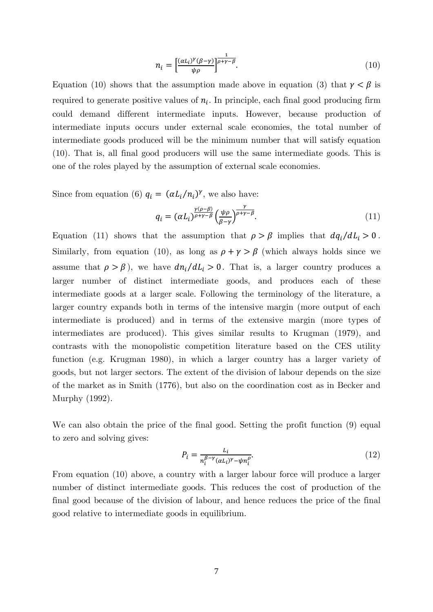$$
n_i = \left[\frac{(a_{i})^{\gamma}(\beta - \gamma)}{\psi \rho}\right]^{\frac{1}{\rho + \gamma - \beta}}.\tag{10}
$$

Equation (10) shows that the assumption made above in equation (3) that  $\gamma < \beta$  is required to generate positive values of  $n_i$ . In principle, each final good producing firm could demand different intermediate inputs. However, because production of intermediate inputs occurs under external scale economies, the total number of intermediate goods produced will be the minimum number that will satisfy equation (10). That is, all final good producers will use the same intermediate goods. This is one of the roles played by the assumption of external scale economies.

Since from equation (6)  $q_i = (\alpha L_i/n_i)^{\gamma}$ , we also have:

$$
q_i = (\alpha L_i)^{\frac{\gamma(\rho-\beta)}{\rho+\gamma-\beta}} \left(\frac{\psi \rho}{\beta-\gamma}\right)^{\frac{\gamma}{\rho+\gamma-\beta}}.\tag{11}
$$

Equation (11) shows that the assumption that  $\rho > \beta$  implies that  $dq_i/dL_i > 0$ . Similarly, from equation (10), as long as  $\rho + \gamma > \beta$  (which always holds since we assume that  $\rho > \beta$ , we have  $dn_i/dL_i > 0$ . That is, a larger country produces a larger number of distinct intermediate goods, and produces each of these intermediate goods at a larger scale. Following the terminology of the literature, a larger country expands both in terms of the intensive margin (more output of each intermediate is produced) and in terms of the extensive margin (more types of intermediates are produced). This gives similar results to Krugman (1979), and contrasts with the monopolistic competition literature based on the CES utility function (e.g. Krugman 1980), in which a larger country has a larger variety of goods, but not larger sectors. The extent of the division of labour depends on the size of the market as in Smith (1776), but also on the coordination cost as in Becker and Murphy (1992).

We can also obtain the price of the final good. Setting the profit function (9) equal to zero and solving gives:

$$
P_i = \frac{L_i}{n_i^{\beta - \gamma} (\alpha L_i)^{\gamma} - \psi n_i^{\rho}}.
$$
\n(12)

From equation (10) above, a country with a larger labour force will produce a larger number of distinct intermediate goods. This reduces the cost of production of the final good because of the division of labour, and hence reduces the price of the final good relative to intermediate goods in equilibrium.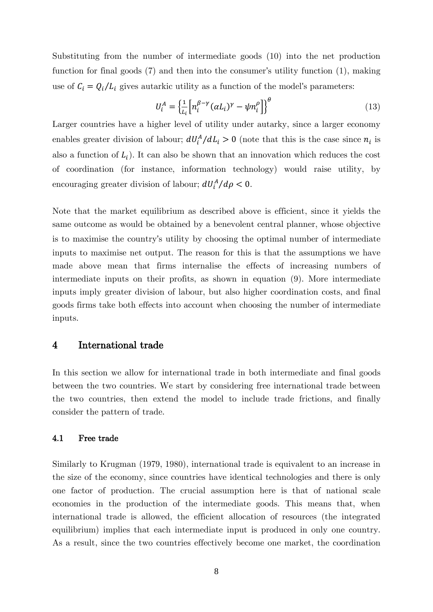Substituting from the number of intermediate goods (10) into the net production function for final goods (7) and then into the consumer's utility function (1), making use of  $C_i = Q_i / L_i$  gives autarkic utility as a function of the model's parameters:

$$
U_i^A = \left\{ \frac{1}{L_i} \left[ n_i^{\beta - \gamma} (\alpha L_i)^{\gamma} - \psi n_i^{\rho} \right] \right\}^{\theta} \tag{13}
$$

Larger countries have a higher level of utility under autarky, since a larger economy enables greater division of labour;  $dU_i^A/dL_i > 0$  (note that this is the case since  $n_i$  is also a function of  $L_i$ ). It can also be shown that an innovation which reduces the cost of coordination (for instance, information technology) would raise utility, by encouraging greater division of labour;  $dU_i^A/d\rho < 0$ .

Note that the market equilibrium as described above is efficient, since it yields the same outcome as would be obtained by a benevolent central planner, whose objective is to maximise the country's utility by choosing the optimal number of intermediate inputs to maximise net output. The reason for this is that the assumptions we have made above mean that firms internalise the effects of increasing numbers of intermediate inputs on their profits, as shown in equation (9). More intermediate inputs imply greater division of labour, but also higher coordination costs, and final goods firms take both effects into account when choosing the number of intermediate inputs.

#### 4 International trade

In this section we allow for international trade in both intermediate and final goods between the two countries. We start by considering free international trade between the two countries, then extend the model to include trade frictions, and finally consider the pattern of trade.

#### 4.1 Free trade

Similarly to Krugman (1979, 1980), international trade is equivalent to an increase in the size of the economy, since countries have identical technologies and there is only one factor of production. The crucial assumption here is that of national scale economies in the production of the intermediate goods. This means that, when international trade is allowed, the efficient allocation of resources (the integrated equilibrium) implies that each intermediate input is produced in only one country. As a result, since the two countries effectively become one market, the coordination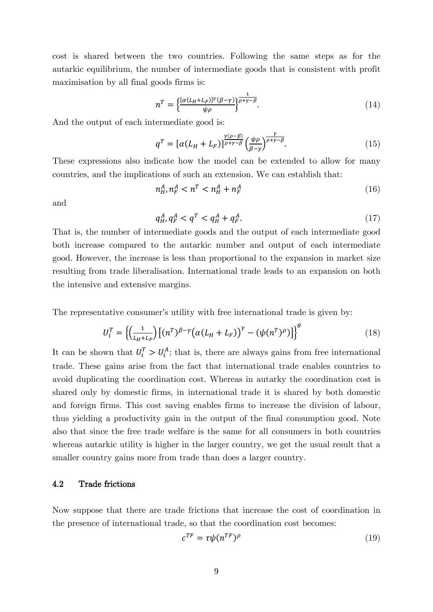cost is shared between the two countries. Following the same steps as for the autarkic equilibrium, the number of intermediate goods that is consistent with profit maximisation by all final goods firms is:

$$
n^T = \left\{ \frac{[\alpha (L_H + L_F)]^{\gamma} (\beta - \gamma)}{\psi \rho} \right\}^{\frac{1}{\rho + \gamma - \beta}}.
$$
\n(14)

And the output of each intermediate good is:

$$
q^T = \left[ \alpha (L_H + L_F) \right]^{\frac{\gamma(\rho - \beta)}{\rho + \gamma - \beta}} \left( \frac{\psi \rho}{\beta - \gamma} \right)^{\frac{\gamma}{\rho + \gamma - \beta}}.
$$
\n(15)

These expressions also indicate how the model can be extended to allow for many countries, and the implications of such an extension. We can establish that:

$$
n_H^A, n_F^A < n^T < n_H^A + n_F^A \tag{16}
$$

and

$$
q_H^A, q_F^A < q^T < q_H^A + q_F^A. \tag{17}
$$

That is, the number of intermediate goods and the output of each intermediate good both increase compared to the autarkic number and output of each intermediate good. However, the increase is less than proportional to the expansion in market size resulting from trade liberalisation. International trade leads to an expansion on both the intensive and extensive margins.

The representative consumer's utility with free international trade is given by:

$$
U_i^T = \left\{ \left( \frac{1}{L_H + L_F} \right) \left[ (n^T)^{\beta - \gamma} \left( \alpha (L_H + L_F) \right)^{\gamma} - \left( \psi (n^T)^{\rho} \right) \right] \right\}^{\theta} \tag{18}
$$

It can be shown that  $U_i^T > U_i^A$ ; that is, there are always gains from free international trade. These gains arise from the fact that international trade enables countries to avoid duplicating the coordination cost. Whereas in autarky the coordination cost is shared only by domestic firms, in international trade it is shared by both domestic and foreign firms. This cost saving enables firms to increase the division of labour, thus yielding a productivity gain in the output of the final consumption good. Note also that since the free trade welfare is the same for all consumers in both countries whereas autarkic utility is higher in the larger country, we get the usual result that a smaller country gains more from trade than does a larger country.

#### 4.2 Trade frictions

Now suppose that there are trade frictions that increase the cost of coordination in the presence of international trade, so that the coordination cost becomes:

$$
c^{TF} = \tau \psi(n^{TF})^{\rho} \tag{19}
$$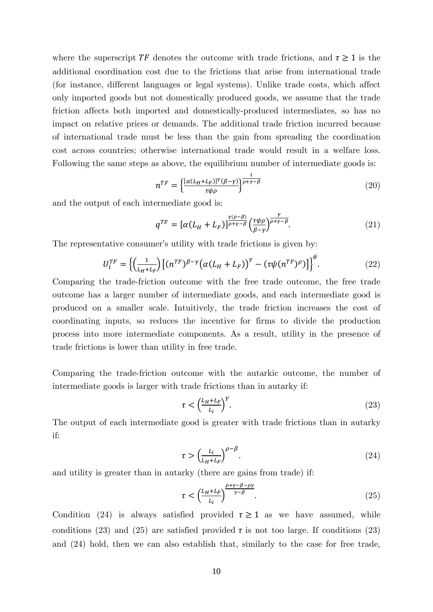where the superscript  $TF$  denotes the outcome with trade frictions, and  $\tau \geq 1$  is the additional coordination cost due to the frictions that arise from international trade (for instance, different languages or legal systems). Unlike trade costs, which affect only imported goods but not domestically produced goods, we assume that the trade friction affects both imported and domestically-produced intermediates, so has no impact on relative prices or demands. The additional trade friction incurred because of international trade must be less than the gain from spreading the coordination cost across countries; otherwise international trade would result in a welfare loss. Following the same steps as above, the equilibrium number of intermediate goods is:

$$
n^{TF} = \left\{ \frac{[\alpha (L_H + L_F)]^{\gamma} (\beta - \gamma)}{\tau \psi \rho} \right\}^{\frac{1}{\rho + \gamma - \beta}} \tag{20}
$$

and the output of each intermediate good is:

$$
q^{TF} = \left[\alpha(L_H + L_F)\right]^{\frac{\gamma(\rho - \beta)}{\rho + \gamma - \beta}} \left(\frac{\tau \psi \rho}{\beta - \gamma}\right)^{\frac{\gamma}{\rho + \gamma - \beta}}.\tag{21}
$$

The representative consumer's utility with trade frictions is given by:

$$
U_i^{TF} = \left\{ \left( \frac{1}{L_H + L_F} \right) \left[ (n^{TF})^{\beta - \gamma} \left( \alpha (L_H + L_F) \right)^{\gamma} - (\tau \psi (n^{TF})^{\rho}) \right] \right\}^{\theta}.
$$
 (22)

Comparing the trade-friction outcome with the free trade outcome, the free trade outcome has a larger number of intermediate goods, and each intermediate good is produced on a smaller scale. Intuitively, the trade friction increases the cost of coordinating inputs, so reduces the incentive for firms to divide the production process into more intermediate components. As a result, utility in the presence of trade frictions is lower than utility in free trade.

Comparing the trade-friction outcome with the autarkic outcome, the number of intermediate goods is larger with trade frictions than in autarky if:

$$
\tau < \left(\frac{L_H + L_F}{L_i}\right)^{\gamma}.\tag{23}
$$

The output of each intermediate good is greater with trade frictions than in autarky if:

$$
\tau > \left(\frac{L_i}{L_H + L_F}\right)^{\rho - \beta}.\tag{24}
$$

and utility is greater than in autarky (there are gains from trade) if:

$$
\tau < \left(\frac{L_H + L_F}{L_i}\right)^{\frac{\rho + \gamma - \beta - \rho\gamma}{\gamma - \beta}}.\tag{25}
$$

Condition (24) is always satisfied provided  $\tau \geq 1$  as we have assumed, while conditions (23) and (25) are satisfied provided  $\tau$  is not too large. If conditions (23) and (24) hold, then we can also establish that, similarly to the case for free trade,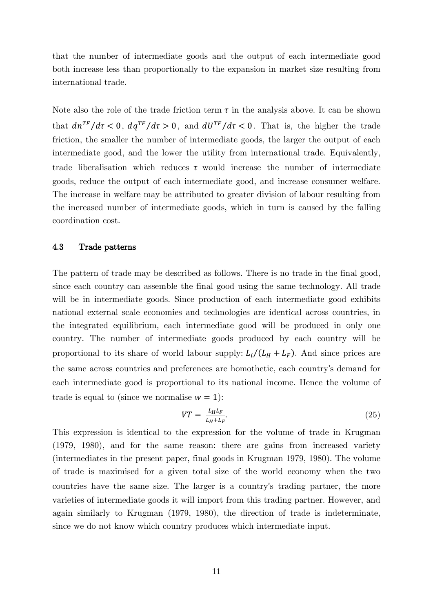that the number of intermediate goods and the output of each intermediate good both increase less than proportionally to the expansion in market size resulting from international trade.

Note also the role of the trade friction term  $\tau$  in the analysis above. It can be shown that  $d n^{TF}/d\tau < 0$ ,  $d q^{TF}/d\tau > 0$ , and  $d U^{TF}/d\tau < 0$ . That is, the higher the trade friction, the smaller the number of intermediate goods, the larger the output of each intermediate good, and the lower the utility from international trade. Equivalently, trade liberalisation which reduces  $\tau$  would increase the number of intermediate goods, reduce the output of each intermediate good, and increase consumer welfare. The increase in welfare may be attributed to greater division of labour resulting from the increased number of intermediate goods, which in turn is caused by the falling coordination cost.

#### 4.3 Trade patterns

The pattern of trade may be described as follows. There is no trade in the final good, since each country can assemble the final good using the same technology. All trade will be in intermediate goods. Since production of each intermediate good exhibits national external scale economies and technologies are identical across countries, in the integrated equilibrium, each intermediate good will be produced in only one country. The number of intermediate goods produced by each country will be proportional to its share of world labour supply:  $L_i/(L_H + L_F)$ . And since prices are the same across countries and preferences are homothetic, each country's demand for each intermediate good is proportional to its national income. Hence the volume of trade is equal to (since we normalise  $w = 1$ ):

$$
VT = \frac{L_H L_F}{L_H + L_F}.\tag{25}
$$

This expression is identical to the expression for the volume of trade in Krugman (1979, 1980), and for the same reason: there are gains from increased variety (intermediates in the present paper, final goods in Krugman 1979, 1980). The volume of trade is maximised for a given total size of the world economy when the two countries have the same size. The larger is a country's trading partner, the more varieties of intermediate goods it will import from this trading partner. However, and again similarly to Krugman (1979, 1980), the direction of trade is indeterminate, since we do not know which country produces which intermediate input.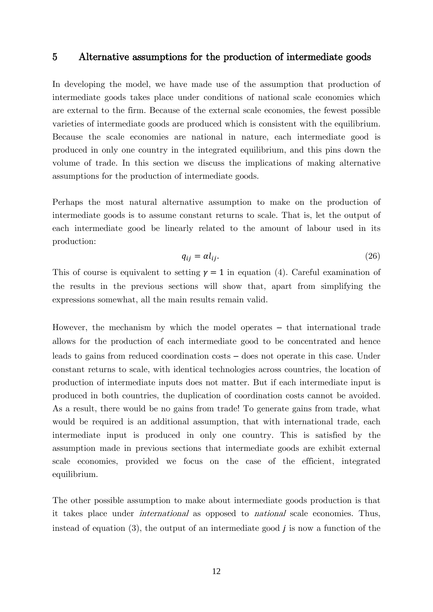## 5 Alternative assumptions for the production of intermediate goods

In developing the model, we have made use of the assumption that production of intermediate goods takes place under conditions of national scale economies which are external to the firm. Because of the external scale economies, the fewest possible varieties of intermediate goods are produced which is consistent with the equilibrium. Because the scale economies are national in nature, each intermediate good is produced in only one country in the integrated equilibrium, and this pins down the volume of trade. In this section we discuss the implications of making alternative assumptions for the production of intermediate goods.

Perhaps the most natural alternative assumption to make on the production of intermediate goods is to assume constant returns to scale. That is, let the output of each intermediate good be linearly related to the amount of labour used in its production:

$$
q_{ij} = \alpha l_{ij}.\tag{26}
$$

This of course is equivalent to setting  $\gamma = 1$  in equation (4). Careful examination of the results in the previous sections will show that, apart from simplifying the expressions somewhat, all the main results remain valid.

However, the mechanism by which the model operates – that international trade allows for the production of each intermediate good to be concentrated and hence leads to gains from reduced coordination costs – does not operate in this case. Under constant returns to scale, with identical technologies across countries, the location of production of intermediate inputs does not matter. But if each intermediate input is produced in both countries, the duplication of coordination costs cannot be avoided. As a result, there would be no gains from trade! To generate gains from trade, what would be required is an additional assumption, that with international trade, each intermediate input is produced in only one country. This is satisfied by the assumption made in previous sections that intermediate goods are exhibit external scale economies, provided we focus on the case of the efficient, integrated equilibrium.

The other possible assumption to make about intermediate goods production is that it takes place under international as opposed to national scale economies. Thus, instead of equation  $(3)$ , the output of an intermediate good *j* is now a function of the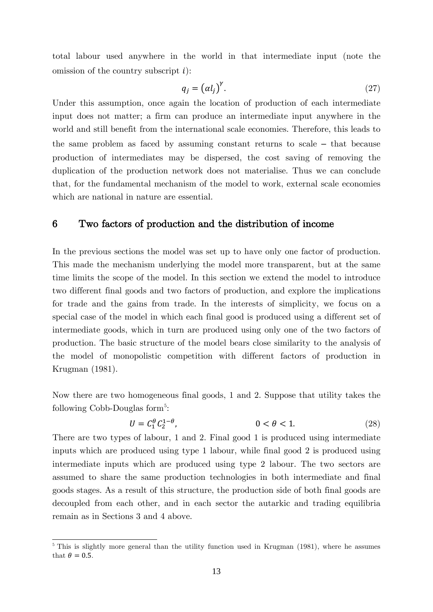total labour used anywhere in the world in that intermediate input (note the omission of the country subscript  $i$ :

$$
q_j = (a l_j)^{\gamma}.
$$
 (27)

Under this assumption, once again the location of production of each intermediate input does not matter; a firm can produce an intermediate input anywhere in the world and still benefit from the international scale economies. Therefore, this leads to the same problem as faced by assuming constant returns to scale – that because production of intermediates may be dispersed, the cost saving of removing the duplication of the production network does not materialise. Thus we can conclude that, for the fundamental mechanism of the model to work, external scale economies which are national in nature are essential.

## 6 Two factors of production and the distribution of income

In the previous sections the model was set up to have only one factor of production. This made the mechanism underlying the model more transparent, but at the same time limits the scope of the model. In this section we extend the model to introduce two different final goods and two factors of production, and explore the implications for trade and the gains from trade. In the interests of simplicity, we focus on a special case of the model in which each final good is produced using a different set of intermediate goods, which in turn are produced using only one of the two factors of production. The basic structure of the model bears close similarity to the analysis of the model of monopolistic competition with different factors of production in Krugman (1981).

Now there are two homogeneous final goods, 1 and 2. Suppose that utility takes the following Cobb-Douglas form<sup>[5](#page-13-0)</sup>:

$$
U = C_1^{\theta} C_2^{1-\theta}, \qquad 0 < \theta < 1. \tag{28}
$$

There are two types of labour, 1 and 2. Final good 1 is produced using intermediate inputs which are produced using type 1 labour, while final good 2 is produced using intermediate inputs which are produced using type 2 labour. The two sectors are assumed to share the same production technologies in both intermediate and final goods stages. As a result of this structure, the production side of both final goods are decoupled from each other, and in each sector the autarkic and trading equilibria remain as in Sections 3 and 4 above.

<span id="page-13-0"></span> $5$  This is slightly more general than the utility function used in Krugman (1981), where he assumes that  $\theta = 0.5$ .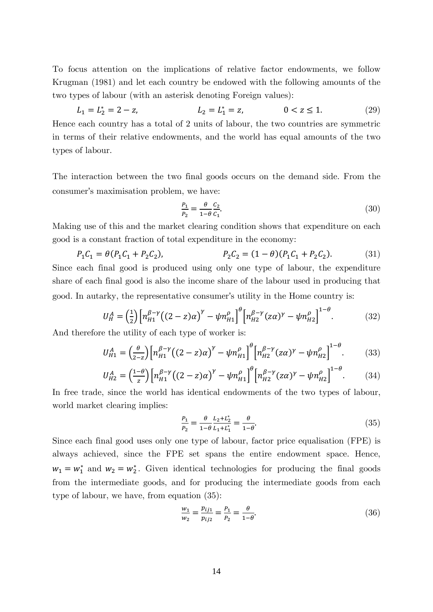To focus attention on the implications of relative factor endowments, we follow Krugman (1981) and let each country be endowed with the following amounts of the two types of labour (with an asterisk denoting Foreign values):

$$
L_1 = L_2^* = 2 - z, \qquad L_2 = L_1^* = z, \qquad 0 < z \le 1. \tag{29}
$$

Hence each country has a total of 2 units of labour, the two countries are symmetric in terms of their relative endowments, and the world has equal amounts of the two types of labour.

The interaction between the two final goods occurs on the demand side. From the consumer's maximisation problem, we have:

$$
\frac{P_1}{P_2} = \frac{\theta}{1 - \theta} \frac{C_2}{C_1}.\tag{30}
$$

Making use of this and the market clearing condition shows that expenditure on each good is a constant fraction of total expenditure in the economy:

$$
P_1C_1 = \theta(P_1C_1 + P_2C_2), \qquad P_2C_2 = (1 - \theta)(P_1C_1 + P_2C_2). \tag{31}
$$

Since each final good is produced using only one type of labour, the expenditure share of each final good is also the income share of the labour used in producing that good. In autarky, the representative consumer's utility in the Home country is:

$$
U_H^A = \left(\frac{1}{2}\right) \left[ n_{H1}^{\beta - \gamma} \left( (2 - z)\alpha \right)^{\gamma} - \psi n_{H1}^{\rho} \right]^\theta \left[ n_{H2}^{\beta - \gamma} (z\alpha)^{\gamma} - \psi n_{H2}^{\rho} \right]^{1 - \theta} . \tag{32}
$$

And therefore the utility of each type of worker is:

$$
U_{H1}^{A} = \left(\frac{\theta}{2-z}\right) \left[ n_{H1}^{\beta-\gamma} \left( (2-z)\alpha \right)^{\gamma} - \psi n_{H1}^{\rho} \right] \left[ n_{H2}^{\beta-\gamma} (z\alpha)^{\gamma} - \psi n_{H2}^{\rho} \right]^{1-\theta} . \tag{33}
$$

$$
U_{H2}^{A} = \left(\frac{1-\theta}{z}\right) \left[ n_{H1}^{\beta-\gamma} \left( (2-z)\alpha \right)^{\gamma} - \psi n_{H1}^{\rho} \right] \left[ n_{H2}^{\beta-\gamma} (z\alpha)^{\gamma} - \psi n_{H2}^{\rho} \right]^{1-\theta} . \tag{34}
$$

In free trade, since the world has identical endowments of the two types of labour, world market clearing implies:

$$
\frac{P_1}{P_2} = \frac{\theta}{1 - \theta} \frac{L_2 + L_2^*}{L_1 + L_1^*} = \frac{\theta}{1 - \theta}.
$$
\n(35)

Since each final good uses only one type of labour, factor price equalisation (FPE) is always achieved, since the FPE set spans the entire endowment space. Hence,  $w_1 = w_1^*$  and  $w_2 = w_2^*$ . Given identical technologies for producing the final goods from the intermediate goods, and for producing the intermediate goods from each type of labour, we have, from equation (35):

$$
\frac{w_1}{w_2} = \frac{p_{ij1}}{p_{ij2}} = \frac{p_1}{p_2} = \frac{\theta}{1-\theta}.
$$
\n(36)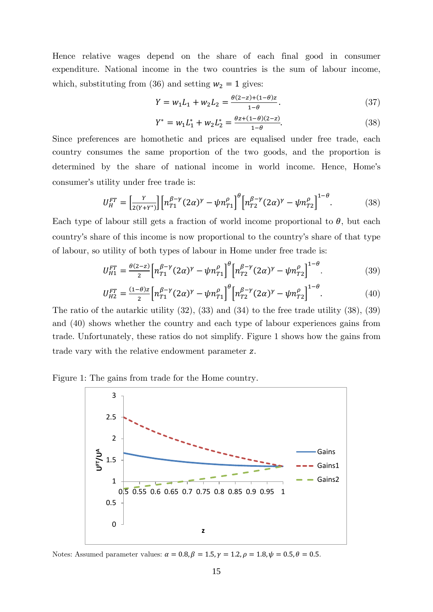Hence relative wages depend on the share of each final good in consumer expenditure. National income in the two countries is the sum of labour income, which, substituting from (36) and setting  $w_2 = 1$  gives:

$$
Y = w_1 L_1 + w_2 L_2 = \frac{\theta(2-z) + (1-\theta)z}{1-\theta}.
$$
\n(37)

$$
Y^* = w_1 L_1^* + w_2 L_2^* = \frac{\theta z + (1 - \theta)(2 - z)}{1 - \theta}.
$$
 (38)

Since preferences are homothetic and prices are equalised under free trade, each country consumes the same proportion of the two goods, and the proportion is determined by the share of national income in world income. Hence, Home's consumer's utility under free trade is:

$$
U_H^{FT} = \left[\frac{Y}{2(Y+Y^*)}\right] \left[n_{T1}^{\beta-\gamma} (2\alpha)^\gamma - \psi n_{T1}^\rho\right]^\theta \left[n_{T2}^{\beta-\gamma} (2\alpha)^\gamma - \psi n_{T2}^\rho\right]^{1-\theta}.\tag{38}
$$

Each type of labour still gets a fraction of world income proportional to  $\theta$ , but each country's share of this income is now proportional to the country's share of that type of labour, so utility of both types of labour in Home under free trade is:

$$
U_{H1}^{FT} = \frac{\theta(2-z)}{2} \Big[ n_{T1}^{\beta-\gamma} (2\alpha)^\gamma - \psi n_{T1}^\rho \Big]^\theta \Big[ n_{T2}^{\beta-\gamma} (2\alpha)^\gamma - \psi n_{T2}^\rho \Big]^{1-\theta} . \tag{39}
$$

$$
U_{H2}^{FT} = \frac{(1-\theta)z}{2} \Big[ n_{T1}^{\beta-\gamma} (2\alpha)^\gamma - \psi n_{T1}^\rho \Big]^\theta \Big[ n_{T2}^{\beta-\gamma} (2\alpha)^\gamma - \psi n_{T2}^\rho \Big]^{1-\theta} . \tag{40}
$$

The ratio of the autarkic utility (32), (33) and (34) to the free trade utility (38), (39) and (40) shows whether the country and each type of labour experiences gains from trade. Unfortunately, these ratios do not simplify. Figure 1 shows how the gains from trade vary with the relative endowment parameter z.

Figure 1: The gains from trade for the Home country.



Notes: Assumed parameter values:  $\alpha = 0.8$ ,  $\beta = 1.5$ ,  $\gamma = 1.2$ ,  $\rho = 1.8$ ,  $\psi = 0.5$ ,  $\theta = 0.5$ .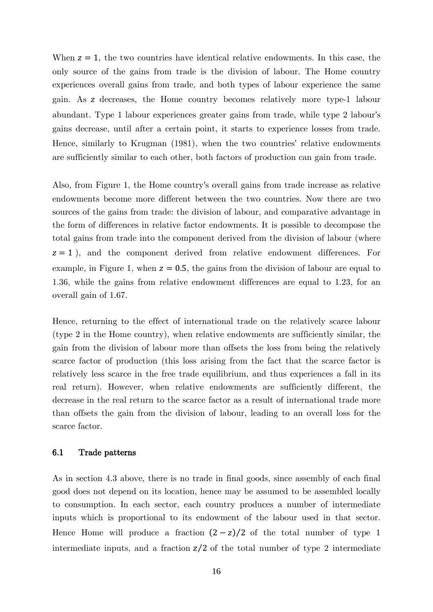When  $z = 1$ , the two countries have identical relative endowments. In this case, the only source of the gains from trade is the division of labour. The Home country experiences overall gains from trade, and both types of labour experience the same gain. As decreases, the Home country becomes relatively more type-1 labour abundant. Type 1 labour experiences greater gains from trade, while type 2 labour's gains decrease, until after a certain point, it starts to experience losses from trade. Hence, similarly to Krugman (1981), when the two countries' relative endowments are sufficiently similar to each other, both factors of production can gain from trade.

Also, from Figure 1, the Home country's overall gains from trade increase as relative endowments become more different between the two countries. Now there are two sources of the gains from trade: the division of labour, and comparative advantage in the form of differences in relative factor endowments. It is possible to decompose the total gains from trade into the component derived from the division of labour (where  $z = 1$ , and the component derived from relative endowment differences. For example, in Figure 1, when  $z = 0.5$ , the gains from the division of labour are equal to 1.36, while the gains from relative endowment differences are equal to 1.23, for an overall gain of 1.67.

Hence, returning to the effect of international trade on the relatively scarce labour (type 2 in the Home country), when relative endowments are sufficiently similar, the gain from the division of labour more than offsets the loss from being the relatively scarce factor of production (this loss arising from the fact that the scarce factor is relatively less scarce in the free trade equilibrium, and thus experiences a fall in its real return). However, when relative endowments are sufficiently different, the decrease in the real return to the scarce factor as a result of international trade more than offsets the gain from the division of labour, leading to an overall loss for the scarce factor.

#### 6.1 Trade patterns

As in section 4.3 above, there is no trade in final goods, since assembly of each final good does not depend on its location, hence may be assumed to be assembled locally to consumption. In each sector, each country produces a number of intermediate inputs which is proportional to its endowment of the labour used in that sector. Hence Home will produce a fraction  $(2 - z)/2$  of the total number of type 1 intermediate inputs, and a fraction  $z/2$  of the total number of type 2 intermediate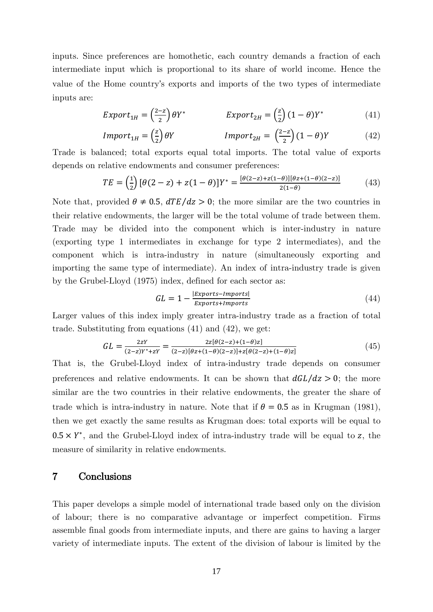inputs. Since preferences are homothetic, each country demands a fraction of each intermediate input which is proportional to its share of world income. Hence the value of the Home country's exports and imports of the two types of intermediate inputs are:

$$
Export_{1H} = \left(\frac{2-z}{2}\right)\theta Y^* \qquad \qquad Export_{2H} = \left(\frac{z}{2}\right)(1-\theta)Y^* \qquad (41)
$$

$$
Import_{1H} = \left(\frac{z}{2}\right) \theta Y \qquad \qquad Import_{2H} = \left(\frac{2-z}{2}\right) (1-\theta) Y \qquad (42)
$$

Trade is balanced; total exports equal total imports. The total value of exports depends on relative endowments and consumer preferences:

$$
TE = \left(\frac{1}{2}\right) \left[\theta(2-z) + z(1-\theta)\right] Y^* = \frac{[\theta(2-z) + z(1-\theta)][\theta z + (1-\theta)(2-z)]}{2(1-\theta)}\tag{43}
$$

Note that, provided  $\theta \neq 0.5$ ,  $dTE/dz > 0$ ; the more similar are the two countries in their relative endowments, the larger will be the total volume of trade between them. Trade may be divided into the component which is inter-industry in nature (exporting type 1 intermediates in exchange for type 2 intermediates), and the component which is intra-industry in nature (simultaneously exporting and importing the same type of intermediate). An index of intra-industry trade is given by the Grubel-Lloyd (1975) index, defined for each sector as:

$$
GL = 1 - \frac{|Exports - Imports|}{Exports + Imports}
$$
\n
$$
(44)
$$

Larger values of this index imply greater intra-industry trade as a fraction of total trade. Substituting from equations (41) and (42), we get:

$$
GL = \frac{2zY}{(2-z)Y^* + zY} = \frac{2z[\theta(2-z)+(1-\theta)z]}{(2-z)[\theta z + (1-\theta)(2-z)] + z[\theta(2-z)+(1-\theta)z]}
$$
(45)

That is, the Grubel-Lloyd index of intra-industry trade depends on consumer preferences and relative endowments. It can be shown that  $dGL/dz > 0$ ; the more similar are the two countries in their relative endowments, the greater the share of trade which is intra-industry in nature. Note that if  $\theta = 0.5$  as in Krugman (1981), then we get exactly the same results as Krugman does: total exports will be equal to  $0.5 \times Y^*$ , and the Grubel-Lloyd index of intra-industry trade will be equal to z, the measure of similarity in relative endowments.

# 7 Conclusions

This paper develops a simple model of international trade based only on the division of labour; there is no comparative advantage or imperfect competition. Firms assemble final goods from intermediate inputs, and there are gains to having a larger variety of intermediate inputs. The extent of the division of labour is limited by the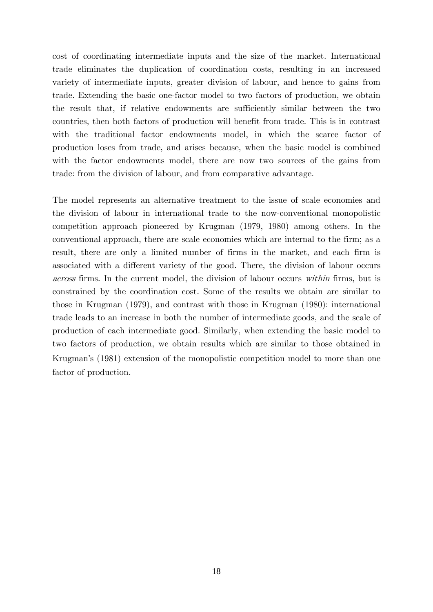cost of coordinating intermediate inputs and the size of the market. International trade eliminates the duplication of coordination costs, resulting in an increased variety of intermediate inputs, greater division of labour, and hence to gains from trade. Extending the basic one-factor model to two factors of production, we obtain the result that, if relative endowments are sufficiently similar between the two countries, then both factors of production will benefit from trade. This is in contrast with the traditional factor endowments model, in which the scarce factor of production loses from trade, and arises because, when the basic model is combined with the factor endowments model, there are now two sources of the gains from trade: from the division of labour, and from comparative advantage.

The model represents an alternative treatment to the issue of scale economies and the division of labour in international trade to the now-conventional monopolistic competition approach pioneered by Krugman (1979, 1980) among others. In the conventional approach, there are scale economies which are internal to the firm; as a result, there are only a limited number of firms in the market, and each firm is associated with a different variety of the good. There, the division of labour occurs across firms. In the current model, the division of labour occurs within firms, but is constrained by the coordination cost. Some of the results we obtain are similar to those in Krugman (1979), and contrast with those in Krugman (1980): international trade leads to an increase in both the number of intermediate goods, and the scale of production of each intermediate good. Similarly, when extending the basic model to two factors of production, we obtain results which are similar to those obtained in Krugman's (1981) extension of the monopolistic competition model to more than one factor of production.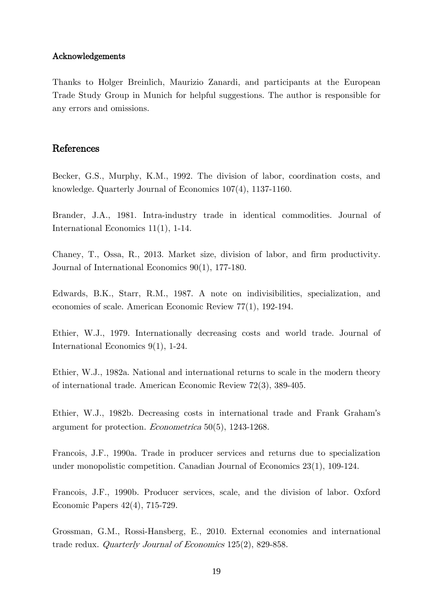#### Acknowledgements

Thanks to Holger Breinlich, Maurizio Zanardi, and participants at the European Trade Study Group in Munich for helpful suggestions. The author is responsible for any errors and omissions.

## References

Becker, G.S., Murphy, K.M., 1992. The division of labor, coordination costs, and knowledge. Quarterly Journal of Economics 107(4), 1137-1160.

Brander, J.A., 1981. Intra-industry trade in identical commodities. Journal of International Economics 11(1), 1-14.

Chaney, T., Ossa, R., 2013. Market size, division of labor, and firm productivity. Journal of International Economics 90(1), 177-180.

Edwards, B.K., Starr, R.M., 1987. A note on indivisibilities, specialization, and economies of scale. American Economic Review 77(1), 192-194.

Ethier, W.J., 1979. Internationally decreasing costs and world trade. Journal of International Economics 9(1), 1-24.

Ethier, W.J., 1982a. National and international returns to scale in the modern theory of international trade. American Economic Review 72(3), 389-405.

Ethier, W.J., 1982b. Decreasing costs in international trade and Frank Graham's argument for protection. Econometrica 50(5), 1243-1268.

Francois, J.F., 1990a. Trade in producer services and returns due to specialization under monopolistic competition. Canadian Journal of Economics 23(1), 109-124.

Francois, J.F., 1990b. Producer services, scale, and the division of labor. Oxford Economic Papers 42(4), 715-729.

Grossman, G.M., Rossi-Hansberg, E., 2010. External economies and international trade redux. Quarterly Journal of Economics 125(2), 829-858.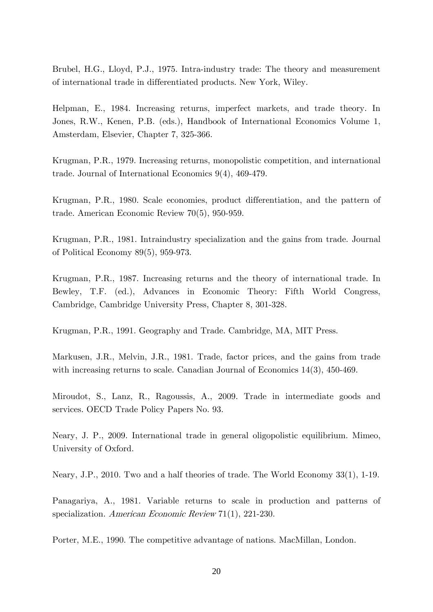Brubel, H.G., Lloyd, P.J., 1975. Intra-industry trade: The theory and measurement of international trade in differentiated products. New York, Wiley.

Helpman, E., 1984. Increasing returns, imperfect markets, and trade theory. In Jones, R.W., Kenen, P.B. (eds.), Handbook of International Economics Volume 1, Amsterdam, Elsevier, Chapter 7, 325-366.

Krugman, P.R., 1979. Increasing returns, monopolistic competition, and international trade. Journal of International Economics 9(4), 469-479.

Krugman, P.R., 1980. Scale economies, product differentiation, and the pattern of trade. American Economic Review 70(5), 950-959.

Krugman, P.R., 1981. Intraindustry specialization and the gains from trade. Journal of Political Economy 89(5), 959-973.

Krugman, P.R., 1987. Increasing returns and the theory of international trade. In Bewley, T.F. (ed.), Advances in Economic Theory: Fifth World Congress, Cambridge, Cambridge University Press, Chapter 8, 301-328.

Krugman, P.R., 1991. Geography and Trade. Cambridge, MA, MIT Press.

Markusen, J.R., Melvin, J.R., 1981. Trade, factor prices, and the gains from trade with increasing returns to scale. Canadian Journal of Economics 14(3), 450-469.

Miroudot, S., Lanz, R., Ragoussis, A., 2009. Trade in intermediate goods and services. OECD Trade Policy Papers No. 93.

Neary, J. P., 2009. International trade in general oligopolistic equilibrium. Mimeo, University of Oxford.

Neary, J.P., 2010. Two and a half theories of trade. The World Economy 33(1), 1-19.

Panagariya, A., 1981. Variable returns to scale in production and patterns of specialization. American Economic Review 71(1), 221-230.

Porter, M.E., 1990. The competitive advantage of nations. MacMillan, London.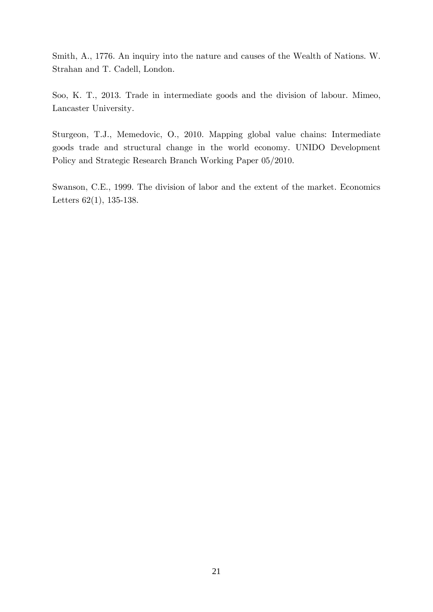Smith, A., 1776. An inquiry into the nature and causes of the Wealth of Nations. W. Strahan and T. Cadell, London.

Soo, K. T., 2013. Trade in intermediate goods and the division of labour. Mimeo, Lancaster University.

Sturgeon, T.J., Memedovic, O., 2010. Mapping global value chains: Intermediate goods trade and structural change in the world economy. UNIDO Development Policy and Strategic Research Branch Working Paper 05/2010.

Swanson, C.E., 1999. The division of labor and the extent of the market. Economics Letters 62(1), 135-138.